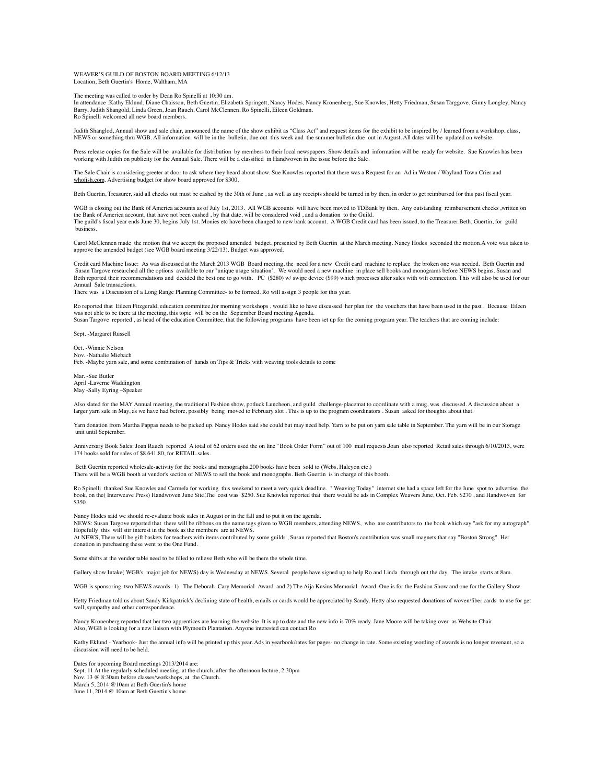WEAVER'S GUILD OF BOSTON BOARD MEETING 6/12/13 Location, Beth Guertin's Home, Waltham, MA

The meeting was called to order by Dean Ro Spinelli at 10:30 am.

In attendance :Kathy Eklund, Diane Chaisson, Beth Guertin, Elizabeth Springett, Nancy Hodes, Nancy Kronenberg, Sue Knowles, Hetty Friedman, Susan Targgove, Ginny Longley, Nancy Barry, Judith Shangold, Linda Green, Joan Rauch, Carol McClennen, Ro Spinelli, Eileen Goldman. Ro Spinelli welcomed all new board members.

Judith Shanglod, Annual show and sale chair, announced the name of the show exhibit as "Class Act" and request items for the exhibit to be inspired by / learned from a workshop, class, NEWS or something thru WGB. All information will be in the bulletin, due out this week and the summer bulletin due out in August. All dates will be updated on website.

Press release copies for the Sale will be available for distribution by members to their local newspapers. Show details and information will be ready for website. Sue Knowles has been working with Judith on publicity for the Annual Sale. There will be a classified in Handwoven in the issue before the Sale.

The Sale Chair is considering greeter at door to ask where they heard about show. Sue Knowles reported that there was a Request for an Ad in Weston / Wayland Town Crier and [whofish.com.](http://whofish.com/) Advertising budget for show board approved for \$300.

Beth Guertin, Treasurer, said all checks out must be cashed by the 30th of June , as well as any receipts should be turned in by then, in order to get reimbursed for this past fiscal year.

WGB is closing out the Bank of America accounts as of July 1st, 2013. All WGB accounts will have been moved to TDBank by then. Any outstanding reimbursement checks ,written on the Bank of America account, that have not been cashed , by that date, will be considered void , and a donation to the Guild.<br>The guild's fiscal year ends June 30, begins July 1st. Monies etc have been changed to new bank business.

Carol McClennen made the motion that we accept the proposed amended budget, presented by Beth Guertin at the March meeting. Nancy Hodes seconded the motion.A vote was taken to approve the amended budget (see WGB board meeting 3/22/13). Budget was approved.

Credit card Machine Issue: As was discussed at the March 2013 WGB Board meeting, the need for a new Credit card machine to replace the broken one was needed. Beth Guertin and Susan Targove researched all the options available to our "unique usage situation". We would need a new machine in place sell books and monograms before NEWS begins. Susan and Beth reported their recommendations and decided the best one to go with. PC (\$280) w/ swipe device (\$99) which processes after sales with wifi connection. This will also be used for our Annual Sale transactions.

There was a Discussion of a Long Range Planning Committee- to be formed. Ro will assign 3 people for this year.

Ro reported that Eileen Fitzgerald, education committee,for morning workshops , would like to have discussed her plan for the vouchers that have been used in the past . Because Eileen was not able to be there at the meeting, this topic will be on the September Board meeting Agenda.

Susan Targove reported , as head of the education Committee, that the following programs have been set up for the coming program year. The teachers that are coming include:

Sept. -Margaret Russell

Oct. -Winnie Nelson Nov. -Nathalie Miebach Feb. -Maybe yarn sale, and some combination of hands on Tips & Tricks with weaving tools details to come

Mar. -Sue Butler April -Laverne Waddington May -Sally Eyring –Speaker

Also slated for the MAY Annual meeting, the traditional Fashion show, potluck Luncheon, and guild challenge-placemat to coordinate with a mug, was discussed. A discussion about a larger yarn sale in May, as we have had before, possibly being moved to February slot. This is up to the program coordinators . Susan asked for thoughts about that

Yarn donation from Martha Pappas needs to be picked up. Nancy Hodes said she could but may need help. Yarn to be put on yarn sale table in September. The yarn will be in our Storage unit until September.

Anniversary Book Sales: Joan Rauch reported A total of 62 orders used the on line "Book Order Form" out of 100 mail requests.Joan also reported Retail sales through 6/10/2013, were 174 books sold for sales of \$8,641.80, for RETAIL sales.

Beth Guertin reported wholesale-activity for the books and monographs.200 books have been sold to (Webs, Halcyon etc.) There will be a WGB booth at vendor's section of NEWS to sell the book and monographs. Beth Guertin is in charge of this booth.

Ro Spinelli thanked Sue Knowles and Carmela for working this weekend to meet a very quick deadline. " Weaving Today" internet site had a space left for the June spot to advertise the book, on the(Interweave Press) Handwoven June Site,The cost was \$250. Sue Knowles reported that there would be ads in Complex Weavers June, Oct. Feb. \$270 , and Handwoven for \$350.

Nancy Hodes said we should re-evaluate book sales in August or in the fall and to put it on the agenda.

NEWS: Susan Targove reported that there will be ribbons on the name tags given to WGB members, attending NEWS, who are contributors to the book which say "ask for my autograph". Hopefully this will stir interest in the book as the members are at NEWS.

At NEWS, There will be gift baskets for teachers with items contributed by some guilds , Susan reported that Boston's contribution was small magnets that say "Boston Strong". Her donation in purchasing these went to the One Fund.

shifts at the vendor table need to be filled to relieve Beth who will be there the whole time.

Gallery show Intake( WGB's major job for NEWS) day is Wednesday at NEWS. Several people have signed up to help Ro and Linda through out the day. The intake starts at 8am.

WGB is sponsoring two NEWS awards- 1) The Deborah Cary Memorial Award and 2) The Aija Kusins Memorial Award. One is for the Fashion Show and one for the Gallery Show.

Hetty Friedman told us about Sandy Kirkpatrick's declining state of health, emails or cards would be appreciated by Sandy. Hetty also requested donations of woven/fiber cards to use for get well, sympathy and other correspondence.

Nancy Kronenberg reported that her two apprentices are learning the website. It is up to date and the new info is 70% ready. Jane Moore will be taking over as Website Chair. Also, WGB is looking for a new liaison with Plymouth Plantation. Anyone interested can contact Ro

Kathy Eklund - Yearbook- Just the annual info will be printed up this year. Ads in yearbook/rates for pages- no change in rate. Some existing wording of awards is no longer revenant, so a discussion will need to be held.

Dates for upcoming Board meetings 2013/2014 are:

Sept. 11 At the regularly scheduled meeting, at the church, after the afternoon lecture, 2:30pm Nov. 13 @ 8:30am before classes/workshops, at the Church.

March 5, 2014 @10am at Beth Guertin's home

June 11, 2014 @ 10am at Beth Guertin's home